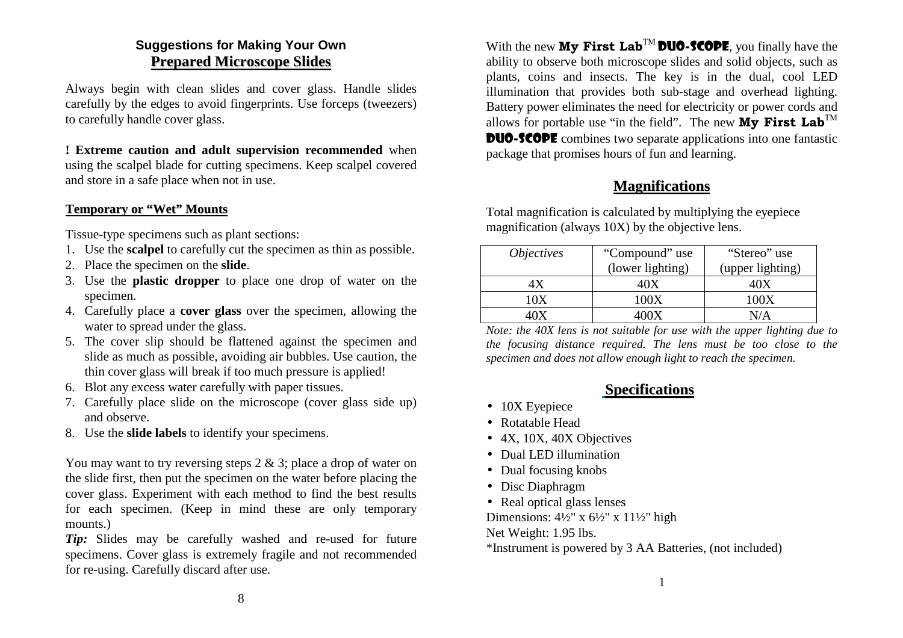### **Suggestions for Making Your OwnPreparedMicroscopeSlides**

Always begin with clean slides and cover glass. Handle slides carefully by the edges to avoid fingerprints. Use forceps (tweezers)to carefully handle cover glass.

**! Extreme caution and adult supervision recommended** when using the scalpel blade for cutting specimens. Keep scalpel coveredand store in a safe place when not in use.

#### **Temporaryor"Wet"Mounts**

Tissue-type specimens such as plant sections:

- 1. Use the **scalpel** to carefully cut the specimen as thin as possible.
- 2. Place the specimen on the **slide**.
- 3. Use the **plastic dropper** to place one drop of water on thespecimen.
- 4. Carefully place a **cover glass** over the specimen, allowing thewater to spread under the glass.
- 5. The cover slip should be flattened against the specimen and slide as much as possible, avoiding air bubbles. Use caution, thethin cover glass will break if too much pressure is applied!
- 6. Blot any excess water carefully with paper tissues.
- 7. Carefully place slide on the microscope (cover glass side up)and observe.
- 8. Use the **slide labels** to identify your specimens.

You may want to try reversing steps 2 & 3; place a drop of water on the slide first, then put the specimen on the water before placing the cover glass. Experiment with each method to find the best results for each specimen. (Keep in mind these are only temporarymounts.)

 *Tip:* Slides may be carefully washed and re-used for future specimens. Cover glass is extremely fragile and not recommendedfor re-using. Carefully discard after use.

With the new  $Mv$  First Lab<sup>TM</sup> DUO-SCOPE, you finally have the ability to observe both microscope slides and solid objects, such as plants, coins and insects. The key is in the dual, cool LED illumination that provides both sub-stage and overhead lighting.Battery power eliminates the need for electricity or power cords andallows for portable use "in the field". The new **My First Lab**<sup>TM</sup> **DUO-SCOPE** combines two separate applications into one fantastic package that promises hours of fun and learning.

# **Magnifications**

 Total magnification is calculated by multiplying the eyepiecemagnification (always 10X) by the objective lens.

| <i>Objectives</i> | "Compound" use   | "Stereo" use     |
|-------------------|------------------|------------------|
|                   | (lower lighting) | (upper lighting) |
|                   |                  |                  |
| 10X               | 100X             | 100X             |
|                   | max              | J / A            |

 *Note: the 40X lens is not suitable for use with the upper lighting due to the focusing distance required. The lens must be too close to thespecimen and does not allow enough light to reach the specimen.*

## **Specifications**

- 10X Eyepiece
- Rotatable Head
- 4X, 10X, 40X Objectives
- Dual LED illumination
- Dual focusing knobs
- Disc Diaphragm
- Real optical glass lenses

Dimensions:  $4\frac{1}{2}$ " x  $6\frac{1}{2}$ " x  $11\frac{1}{2}$ " high

Net Weight: 1.95 lbs.

\*Instrument is powered by 3 AA Batteries, (not included)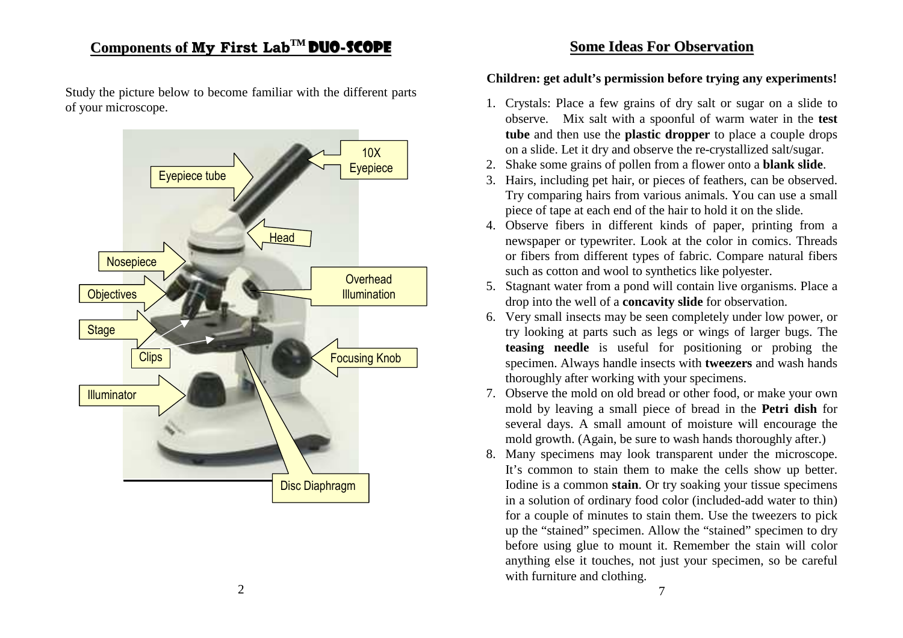#### $\mathbf{Components\ of\ My\ First\ Lab}^{\mathbf{TM}}$ <u>M DUO-SCOPE</u>

Study the picture below to become familiar with the different partsof your microscope.



#### **SomeIdeasForObservation**

#### **Children: get adult's permission before trying any experiments!**

- 1. Crystals: Place a few grains of dry salt or sugar on a slide to observe. Mix salt with a spoonful of warm water in the **test tube** and then use the **plastic dropper** to place a couple dropson a slide. Let it dry and observe the re-crystallized salt/sugar.
- 2. Shake some grains of pollen from a flower onto a **blank slide**.
- 3. Hairs, including pet hair, or pieces of feathers, can be observed. Try comparing hairs from various animals. You can use a smallpiece of tape at each end of the hair to hold it on the slide.
- 4. Observe fibers in different kinds of paper, printing from a newspaper or typewriter. Look at the color in comics. Threads or fibers from different types of fabric. Compare natural fiberssuch as cotton and wool to synthetics like polyester.
- 5. Stagnant water from a pond will contain live organisms. Place adrop into the well of a **concavity slide** for observation.
- 6. Very small insects may be seen completely under low power, or try looking at parts such as legs or wings of larger bugs. The **teasing needle** is useful for positioning or probing the specimen. Always handle insects with **tweezers** and wash handsthoroughly after working with your specimens.
- 7. Observe the mold on old bread or other food, or make your own mold by leaving a small piece of bread in the **Petri dish** for several days. A small amount of moisture will encourage themold growth. (Again, be sure to wash hands thoroughly after.)
- 8. Many specimens may look transparent under the microscope. It's common to stain them to make the cells show up better.Iodine is a common **stain**. Or try soaking your tissue specimens in a solution of ordinary food color (included-add water to thin) for a couple of minutes to stain them. Use the tweezers to pick up the "stained" specimen. Allow the "stained" specimen to dry before using glue to mount it. Remember the stain will color anything else it touches, not just your specimen, so be carefulwith furniture and clothing.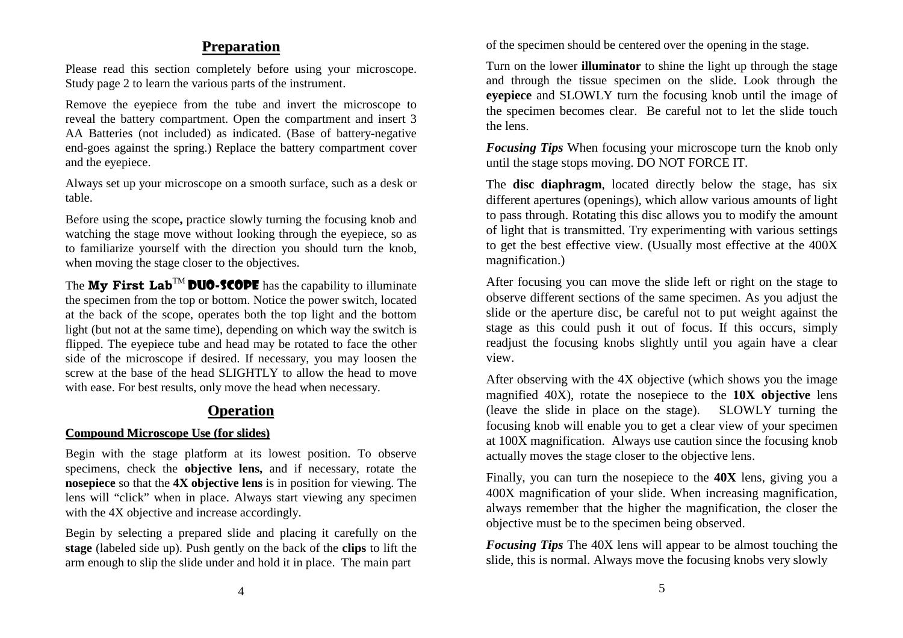### **Preparation**

Please read this section completely before using your microscope.Study page 2 to learn the various parts of the instrument.

Remove the eyepiece from the tube and invert the microscope to reveal the battery compartment. Open the compartment and insert 3 AA Batteries (not included) as indicated. (Base of battery-negative end-goes against the spring.) Replace the battery compartment coverand the eyepiece.

Always set up your microscope on a smooth surface, such as a desk ortable.

Before using the scope**,** practice slowly turning the focusing knob and watching the stage move without looking through the eyepiece, so as to familiarize yourself with the direction you should turn the knob,when moving the stage closer to the objectives.

The **My First Lab<sup>TM</sup> DUO-SCOPE** has the capability to illuminate the specimen from the top or bottom. Notice the power switch, located at the back of the scope, operates both the top light and the bottom light (but not at the same time), depending on which way the switch is flipped. The eyepiece tube and head may be rotated to face the other side of the microscope if desired. If necessary, you may loosen the screw at the base of the head SLIGHTLY to allow the head to movewith ease. For best results, only move the head when necessary.

# **Operation**

# **CompoundMicroscopeUse (for slides)**

 Begin with the stage platform at its lowest position. To observe specimens, check the **objective lens,** and if necessary, rotate the **nosepiece** so that the **4X objective lens** is in position for viewing. The lens will "click" when in place. Always start viewing any specimenwith the 4X objective and increase accordingly.

Begin by selecting a prepared slide and placing it carefully on the **stage** (labeled side up). Push gently on the back of the **clips** to lift thearm enough to slip the slide under and hold it in place. The main part

of the specimen should be centered over the opening in the stage.

Turn on the lower **illuminator** to shine the light up through the stage and through the tissue specimen on the slide. Look through the **eyepiece** and SLOWLY turn the focusing knob until the image of the specimen becomes clear. Be careful not to let the slide touchthe lens.

*Focusing Tips* When focusing your microscope turn the knob onlyuntil the stage stops moving. DO NOT FORCE IT.

The **disc diaphragm**, located directly below the stage, has six different apertures (openings), which allow various amounts of light to pass through. Rotating this disc allows you to modify the amount of light that is transmitted. Try experimenting with various settings to get the best effective view. (Usually most effective at the 400Xmagnification.)

After focusing you can move the slide left or right on the stage to observe different sections of the same specimen. As you adjust the slide or the aperture disc, be careful not to put weight against the stage as this could push it out of focus. If this occurs, simply readjust the focusing knobs slightly until you again have a clearview.

After observing with the 4X objective (which shows you the image magnified 40X), rotate the nosepiece to the **10X objective** lens (leave the slide in place on the stage). SLOWLY turning the focusing knob will enable you to get a clear view of your specimen at 100X magnification. Always use caution since the focusing knobactually moves the stage closer to the objective lens.

Finally, you can turn the nosepiece to the **40X** lens, giving you a 400X magnification of your slide. When increasing magnification,always remember that the higher the magnification, the closer theobjective must be to the specimen being observed.

*Focusing Tips* The 40X lens will appear to be almost touching theslide, this is normal. Always move the focusing knobs very slowly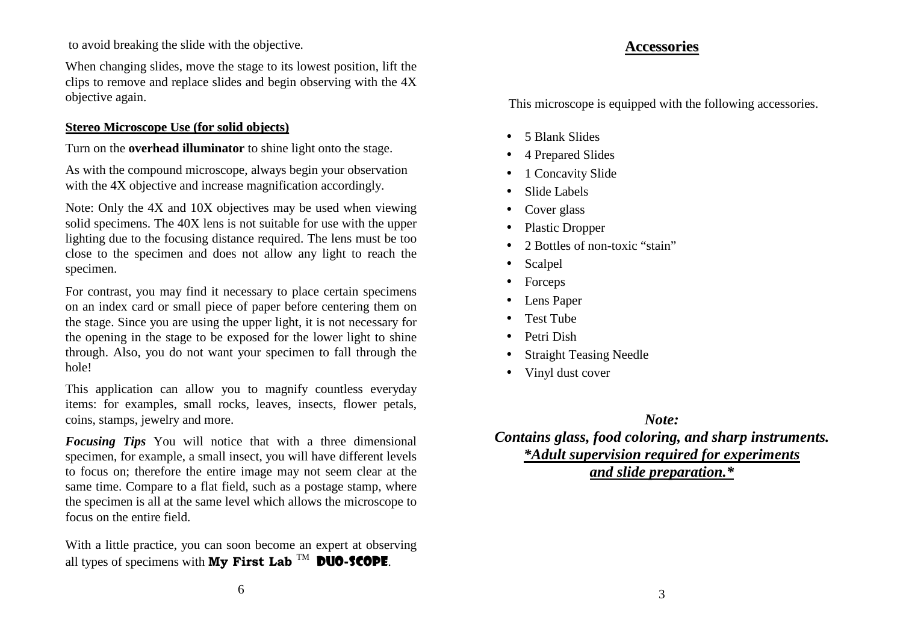to avoid breaking the slide with the objective.

When changing slides, move the stage to its lowest position, lift the clips to remove and replace slides and begin observing with the 4Xobjective again.

# **Stereo Microscope Use (for solid objects)**

Turn on the **overhead illuminator** to shine light onto the stage.

As with the compound microscope, always begin your observationwith the 4X objective and increase magnification accordingly.

Note: Only the 4X and 10X objectives may be used when viewing solid specimens. The 40X lens is not suitable for use with the upper lighting due to the focusing distance required. The lens must be too close to the specimen and does not allow any light to reach thespecimen.

For contrast, you may find it necessary to place certain specimens on an index card or small piece of paper before centering them on the stage. Since you are using the upper light, it is not necessary for the opening in the stage to be exposed for the lower light to shine through. Also, you do not want your specimen to fall through thehole!

This application can allow you to magnify countless everyday items: for examples, small rocks, leaves, insects, flower petals,coins, stamps, jewelry and more.

*Focusing Tips* You will notice that with a three dimensional specimen, for example, a small insect, you will have different levels to focus on; therefore the entire image may not seem clear at the same time. Compare to a flat field, such as a postage stamp, where the specimen is all at the same level which allows the microscope tofocus on the entire field.

With a little practice, you can soon become an expert at observingall types of specimens with  $Mv$  First Lab  $^{TM}$  DUO-SCOPE.

#### **Accessories**

This microscope is equipped with the following accessories.

- 5 Blank Slides
- •4 Prepared Slides
- •1 Concavity Slide
- •Slide Labels
- •Cover glass
- $\bullet$ Plastic Dropper
- $\bullet$ 2 Bottles of non-toxic "stain"
- $\bullet$ Scalpel
- •Forceps
- •Lens Paper
- •Test Tube
- •Petri Dish
- Straight Teasing Needle •
- Vinyl dust cover

*Note: Contains glass, food coloring, and sharp instruments.\*Adult supervision required for experimentsand slide preparation.\**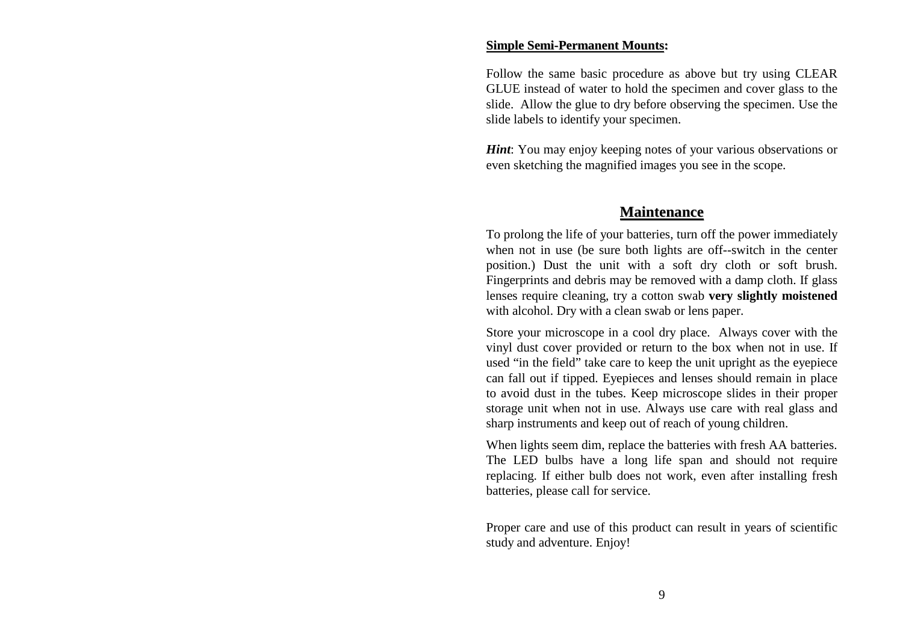#### **Simple Semi-Permanent Mounts:**

Follow the same basic procedure as above but try using CLEAR GLUE instead of water to hold the specimen and cover glass to the slide. Allow the glue to dry before observing the specimen. Use theslide labels to identify your specimen.

*Hint*: You may enjoy keeping notes of your various observations or even sketching the magnified images you see in the scope.

#### **Maintenance**

To prolong the life of your batteries, turn off the power immediately when not in use (be sure both lights are off--switch in the center position.) Dust the unit with a soft dry cloth or soft brush.Fingerprints and debris may be removed with a damp cloth. If glass lenses require cleaning, try a cotton swab **very slightly moistened**with alcohol. Dry with a clean swab or lens paper.

Store your microscope in a cool dry place. Always cover with the vinyl dust cover provided or return to the box when not in use. If used "in the field" take care to keep the unit upright as the eyepiece can fall out if tipped. Eyepieces and lenses should remain in place to avoid dust in the tubes. Keep microscope slides in their proper storage unit when not in use. Always use care with real glass andsharp instruments and keep out of reach of young children.

When lights seem dim, replace the batteries with fresh AA batteries. The LED bulbs have a long life span and should not require replacing. If either bulb does not work, even after installing freshbatteries, please call for service.

Proper care and use of this product can result in years of scientificstudy and adventure. Enjoy!